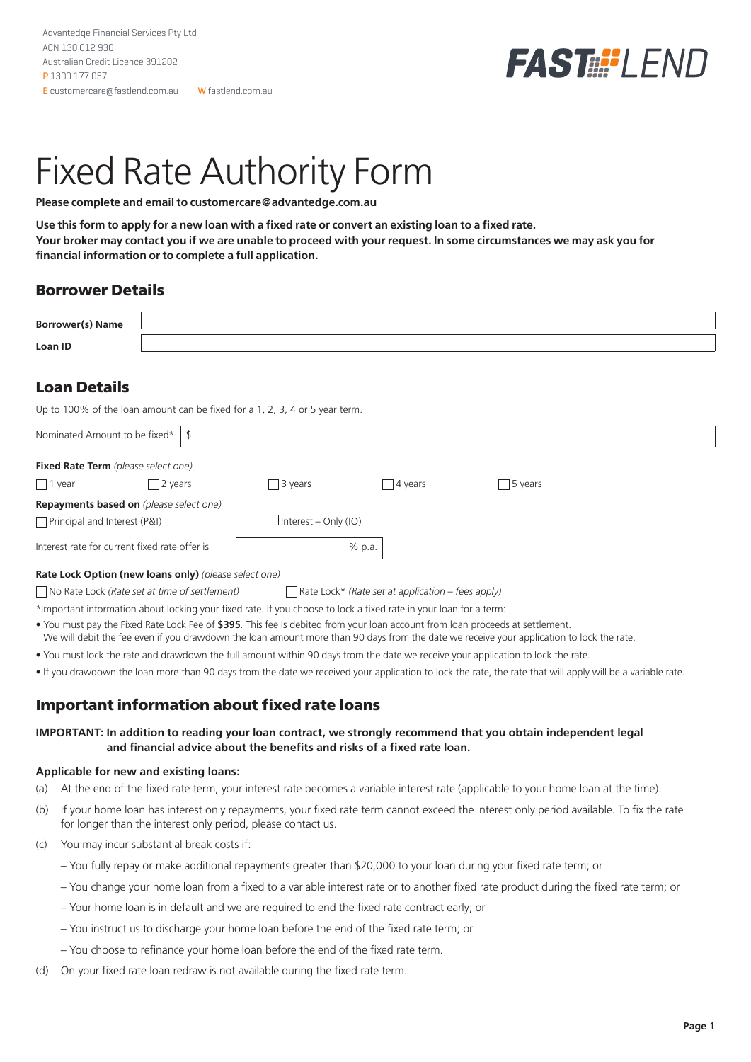

# Fixed Rate Authority Form

**Please complete and email to customercare@advantedge.com.au**

**Use this form to apply for a new loan with a fixed rate or convert an existing loan to a fixed rate. Your broker may contact you if we are unable to proceed with your request. In some circumstances we may ask you for financial information or to complete a full application.**

## Borrower Details

| <b>Borrower(s) Name</b> |  |
|-------------------------|--|
| Loan ID                 |  |

# Loan Details

Up to 100% of the loan amount can be fixed for a 1, 2, 3, 4 or 5 year term.

| Nominated Amount to be fixed*                         |  |                             |                                                   |                 |  |  |  |  |
|-------------------------------------------------------|--|-----------------------------|---------------------------------------------------|-----------------|--|--|--|--|
| <b>Fixed Rate Term</b> (please select one)            |  |                             |                                                   |                 |  |  |  |  |
| $\Box$ 1 year<br>2 years                              |  | 3 years                     | 4 years                                           | $\vert$ 5 years |  |  |  |  |
| <b>Repayments based on</b> (please select one)        |  |                             |                                                   |                 |  |  |  |  |
| Principal and Interest (P&I)                          |  | $\Box$ Interest – Only (IO) |                                                   |                 |  |  |  |  |
| Interest rate for current fixed rate offer is         |  | $%$ p.a.                    |                                                   |                 |  |  |  |  |
| Rate Lock Option (new loans only) (please select one) |  |                             |                                                   |                 |  |  |  |  |
| No Rate Lock (Rate set at time of settlement)         |  |                             | Rate Lock* (Rate set at application – fees apply) |                 |  |  |  |  |

\*Important information about locking your fixed rate. If you choose to lock a fixed rate in your loan for a term:

- You must pay the Fixed Rate Lock Fee of **\$395**. This fee is debited from your loan account from loan proceeds at settlement. We will debit the fee even if you drawdown the loan amount more than 90 days from the date we receive your application to lock the rate.
- You must lock the rate and drawdown the full amount within 90 days from the date we receive your application to lock the rate.
- If you drawdown the loan more than 90 days from the date we received your application to lock the rate, the rate that will apply will be a variable rate.

## Important information about fixed rate loans

## **IMPORTANT: In addition to reading your loan contract, we strongly recommend that you obtain independent legal and financial advice about the benefits and risks of a fixed rate loan.**

### **Applicable for new and existing loans:**

- (a) At the end of the fixed rate term, your interest rate becomes a variable interest rate (applicable to your home loan at the time).
- (b) If your home loan has interest only repayments, your fixed rate term cannot exceed the interest only period available. To fix the rate for longer than the interest only period, please contact us.
- (c) You may incur substantial break costs if:
	- You fully repay or make additional repayments greater than \$20,000 to your loan during your fixed rate term; or
	- You change your home loan from a fixed to a variable interest rate or to another fixed rate product during the fixed rate term; or
	- Your home loan is in default and we are required to end the fixed rate contract early; or
	- You instruct us to discharge your home loan before the end of the fixed rate term; or
	- You choose to refinance your home loan before the end of the fixed rate term.
- (d) On your fixed rate loan redraw is not available during the fixed rate term.